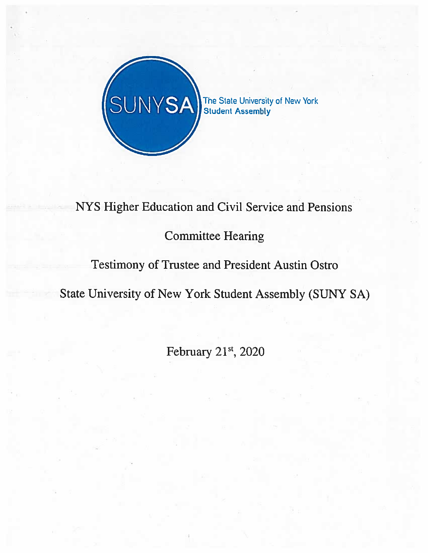

# NYS Higher Education and Civil Service and Pensions

## Committee Hearing

### Testimony of Trustee and President Austin Ostro

State University of New York Student Assembly (SUNY SA)

February 21st, 2020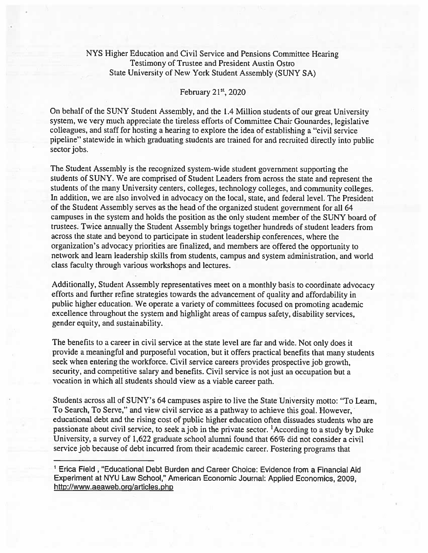#### NYS Higher Education and Civil Service and Pensions Committee Hearing Testimony of Trustee and President Austin Ostro State University of New York Student Assembly (SUNY SA)

#### February 21<sup>st</sup>, 2020

On behalf of the SUNY Student Assembly, and the 1.4 Million students of our grea<sup>t</sup> University system, we very much appreciate the tireless efforts of Committee Chair Gounardes, legislative colleagues, and staff for hosting <sup>a</sup> hearing to explore the idea of establishing <sup>a</sup> "civil service <sup>p</sup>ipeline" statewide in which graduating students are trained for and recruited directly into public sector jobs.

The Student Assembly is the recognized system-wide student governmen<sup>t</sup> supporting the students of SUNY. We are comprised of Student Leaders from across the state and represen<sup>t</sup> the students of the many University centers, colleges, technology colleges, and community colleges. In addition, we are also involved in advocacy on the local, state, and federal level. The President of the Student Assembly serves as the head of the organized student governmen<sup>t</sup> for all 64 campuses in the system and holds the position as the only student member of the SUNY board of trustees. Twice annually the Student Assembly brings together hundreds of student leaders from across the state and beyond to participate in student leadership conferences, where the organization's advocacy priorities are finalized, and members are offered the opportunity to network and learn leadership skills from students, campus and system administration, and world class faculty through various workshops and lectures.

Additionally, Student Assembly representatives meet on <sup>a</sup> monthly basis to coordinate advocacy efforts and further refine strategies towards the advancement of quality and affordability in public higher education. We operate <sup>a</sup> variety of committees focused on promoting academic excellence throughout the system and highlight areas of campus safety, disability services, gender equity, and sustainability.

The benefits to <sup>a</sup> career in civil service at the state level are far and wide. Not only does it provide <sup>a</sup> meaningful and purposeful vocation, but it offers practical benefits that many students seek when entering the workforce. Civil service careers provides prospective job growth, security, and competitive salary and benefits. Civil service is not just an occupation but <sup>a</sup> vocation in which all students should view as <sup>a</sup> viable career path.

Students across all of SUNY's 64 campuses aspire to live the State University motto: "To Learn, To Search, To Serve," and view civil service as <sup>a</sup> pathway to achieve this goal. However, educational debt and the rising cost of public higher education often dissuades students who are passionate about civil service, to seek ajob in the private sector. 'According to <sup>a</sup> study by Duke University, <sup>a</sup> survey of 1,622 graduate school alumni found that 66% did not consider <sup>a</sup> civil service job because of debt incurred from their academic career. Fostering programs that

Erica Field , "Educational Debt Burden and Career Choice: Evidence from <sup>a</sup> Financial Aid Experiment at NYU Law School," American Economic Journal: Applied Economics, 2009, http://www.aeaweb.org/articles.php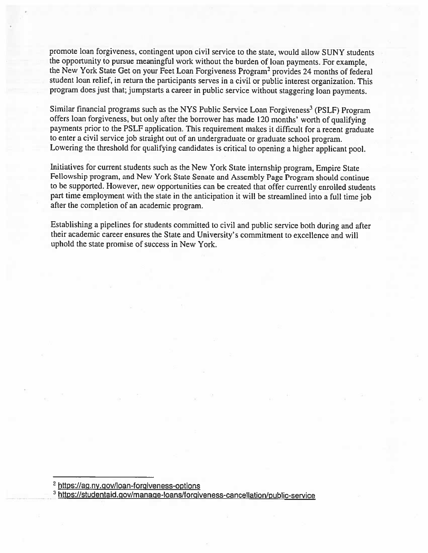promote loan forgiveness, contingent upon civil service to the state, would allow SUNY students the opportunity to pursue meaningful work without the burden of loan payments. For example, the New York State Get on your Feet Loan Forgiveness Program<sup>2</sup> provides 24 months of federal student loan relief, in return the participants serves in <sup>a</sup> civil or public interest organization. This program does just that; jumpstarts <sup>a</sup> career in public service without staggering loan payments.

Similar financial programs such as the NYS Public Service Loan Forgiveness<sup>3</sup> (PSLF) Program offers loan forgiveness, but only after the borrower has made <sup>120</sup> months' worth of qualifying payments prior to the PSLF application. This requirement makes it difficult for a recent graduate to enter <sup>a</sup> civil service job straight out of an undergraduate or graduate school program. Lowering the threshold for qualifying candidates is critical to opening <sup>a</sup> higher applicant pool.

Initiatives for current students such as the New York State internship program, Empire State Fellowship program, and New York State Senate and Assembly Page Program should continue to be supported. However, new opportunities can be created that offer currently enrolled students part time employment with the state in the anticipation it will be streamlined into <sup>a</sup> full time job after the completion of an academic program.

Establishing <sup>a</sup> <sup>p</sup>ipelines for students committed to civil and public service both during and after their academic career ensures the State and University's commitment to excellence and will uphold the state promise of success in New York.

<sup>2</sup> https://ag.ny.gov/loan-forgiveness-options

<sup>3</sup> https://studentaid.gov/manage-loans/forgiveness-cancellation/public-service